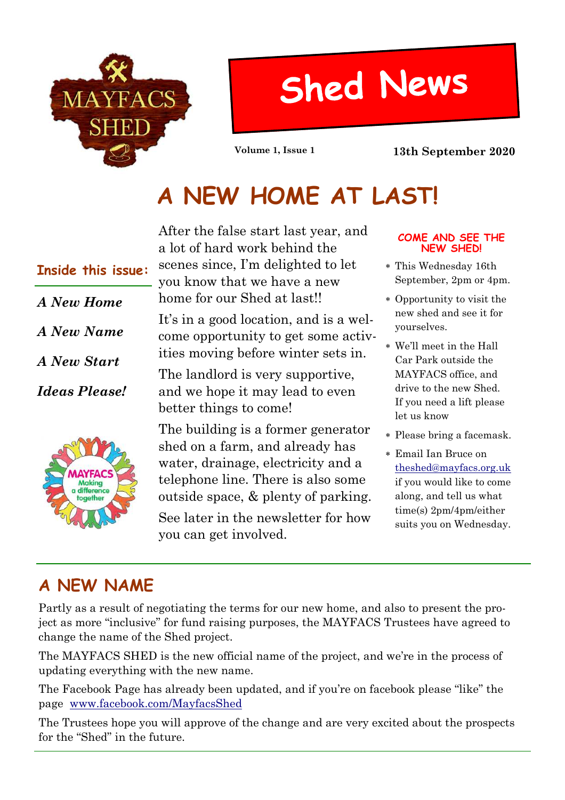

# **Shed News**

**Volume 1, Issue 1 13th September 2020**

### **A NEW HOME AT LAST!**

## *A New Home A New Name A New Start Ideas Please!* **Inside this issue:**



After the false start last year, and a lot of hard work behind the scenes since, I'm delighted to let you know that we have a new home for our Shed at last!!

It's in a good location, and is a welcome opportunity to get some activities moving before winter sets in.

The landlord is very supportive, and we hope it may lead to even better things to come!

The building is a former generator shed on a farm, and already has water, drainage, electricity and a telephone line. There is also some outside space, & plenty of parking.

See later in the newsletter for how you can get involved.

#### **COME AND SEE THE NEW SHED!**

- This Wednesday 16th September, 2pm or 4pm.
- Opportunity to visit the new shed and see it for yourselves.
- We'll meet in the Hall Car Park outside the MAYFACS office, and drive to the new Shed. If you need a lift please let us know
- Please bring a facemask.
- Email Ian Bruce on theshed@mayfacs.org.uk if you would like to come along, and tell us what time(s) 2pm/4pm/either suits you on Wednesday.

### **A NEW NAME**

Partly as a result of negotiating the terms for our new home, and also to present the project as more "inclusive" for fund raising purposes, the MAYFACS Trustees have agreed to change the name of the Shed project.

The MAYFACS SHED is the new official name of the project, and we're in the process of updating everything with the new name.

The Facebook Page has already been updated, and if you're on facebook please "like" the page www.facebook.com/MayfacsShed

The Trustees hope you will approve of the change and are very excited about the prospects for the "Shed" in the future.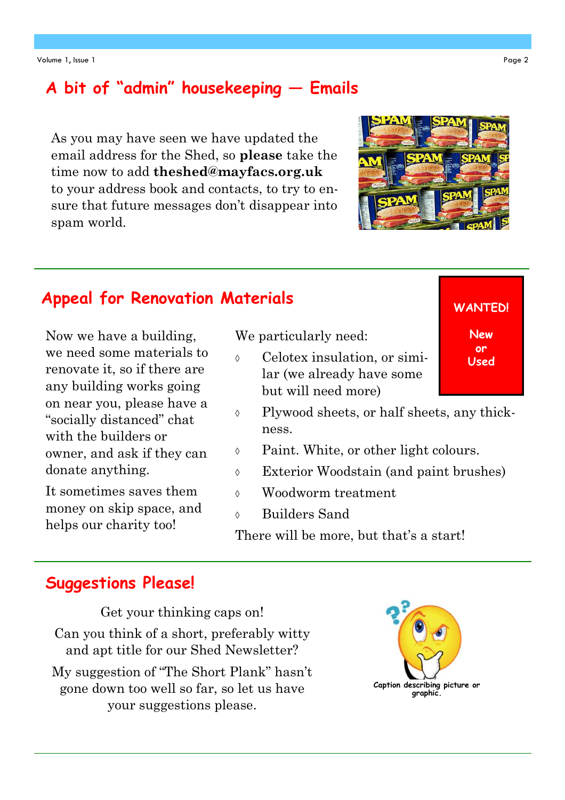#### **A bit of "admin" housekeeping — Emails**

As you may have seen we have updated the email address for the Shed, so **please** take the time now to add **theshed@mayfacs.org.uk** to your address book and contacts, to try to ensure that future messages don't disappear into spam world.

### **Appeal for Renovation Materials WANTED!**

Now we have a building, we need some materials to renovate it, so if there are any building works going on near you, please have a "socially distanced" chat with the builders or owner, and ask if they can donate anything.

It sometimes saves them money on skip space, and helps our charity too!

We particularly need:

- Celotex insulation, or similar (we already have some but will need more)
- Plywood sheets, or half sheets, any thickness.
- Paint. White, or other light colours.
- Exterior Woodstain (and paint brushes)
- Woodworm treatment
- Builders Sand

There will be more, but that's a start!

#### **Suggestions Please!**

Get your thinking caps on! Can you think of a short, preferably witty and apt title for our Shed Newsletter? My suggestion of "The Short Plank" hasn't gone down too well so far, so let us have your suggestions please.





**New or Used**